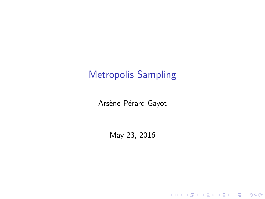Arsène Pérard-Gayot

May 23, 2016

K ロ ▶ K @ ▶ K 할 ▶ K 할 ▶ | 할 | ⊙Q @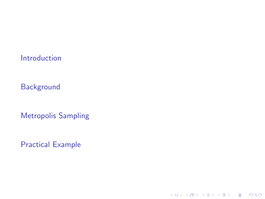[Introduction](#page-2-0)

**[Background](#page-3-0)** 

[Metropolis Sampling](#page-13-0)

[Practical Example](#page-22-0)

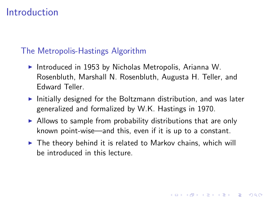### <span id="page-2-0"></span>[Introduction](#page-2-0)

#### The Metropolis-Hastings Algorithm

- Introduced in 1953 by Nicholas Metropolis, Arianna W. Rosenbluth, Marshall N. Rosenbluth, Augusta H. Teller, and Edward Teller.
- $\blacktriangleright$  Initially designed for the Boltzmann distribution, and was later generalized and formalized by W.K. Hastings in 1970.
- $\triangleright$  Allows to sample from probability distributions that are only known point-wise—and this, even if it is up to a constant.
- $\triangleright$  The theory behind it is related to Markov chains, which will be introduced in this lecture.

4 D > 4 P + 4 B + 4 B + B + 9 Q O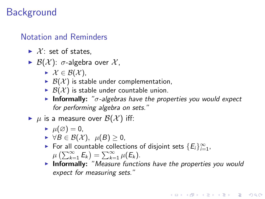### <span id="page-3-0"></span>Notation and Reminders

- $\blacktriangleright$  X: set of states.
- $\blacktriangleright$   $\mathcal{B}(\mathcal{X})$ :  $\sigma$ -algebra over  $\mathcal{X}$ ,
	- $\blacktriangleright$   $\mathcal{X} \in \mathcal{B}(\mathcal{X}),$
	- $\triangleright$   $\mathcal{B}(\mathcal{X})$  is stable under complementation,
	- $\triangleright$   $\mathcal{B}(\mathcal{X})$  is stable under countable union.
	- **Informally:** " $\sigma$ -algebras have the properties you would expect for performing algebra on sets."

 $\blacktriangleright$   $\mu$  is a measure over  $\mathcal{B}(\mathcal{X})$  iff:

- $\blacktriangleright \mu(\varnothing) = 0,$
- $\blacktriangleright \forall B \in \mathcal{B}(\mathcal{X}), \ \mu(B) \geq 0,$
- ► For all countable collections of disjoint sets  ${E_i}_{i=1}^{\infty}$ ,  $\mu\left(\sum_{k=1}^{\infty} E_k\right) = \sum_{k=1}^{\infty} \mu(E_k).$
- $\triangleright$  Informally: "Measure functions have the properties you would expect for measuring sets."

**KORKAR KERKER EL VOLO**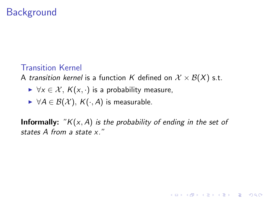#### <span id="page-4-0"></span>Transition Kernel

A transition kernel is a function K defined on  $\mathcal{X} \times \mathcal{B}(X)$  s.t.

- $\triangleright \forall x \in \mathcal{X}, K(x, \cdot)$  is a probability measure,
- $\triangleright \ \forall A \in \mathcal{B}(\mathcal{X}), \ \mathcal{K}(\cdot, A)$  is measurable.

**Informally:** " $K(x, A)$  is the probability of ending in the set of states A from a state x."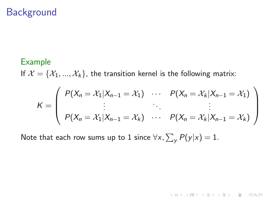#### <span id="page-5-0"></span>Example

If  $\mathcal{X} = \{X_1, ..., X_k\}$ , the transition kernel is the following matrix:

$$
K = \left(\begin{array}{ccc} P(X_n = \mathcal{X}_1 | X_{n-1} = \mathcal{X}_1) & \cdots & P(X_n = \mathcal{X}_k | X_{n-1} = \mathcal{X}_1) \\ \vdots & \ddots & \vdots \\ P(X_n = \mathcal{X}_1 | X_{n-1} = \mathcal{X}_k) & \cdots & P(X_n = \mathcal{X}_k | X_{n-1} = \mathcal{X}_k) \end{array}\right)
$$

K ロ K K (P) K (E) K (E) X (E) X (P) K (P)

Note that each row sums up to  $1$  since  $\forall \mathsf{x}, \sum_{\mathsf{y}} P(\mathsf{y}|\mathsf{x}) = 1.$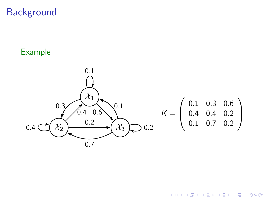#### <span id="page-6-0"></span>Example



イロメ イ団メ イ君メ イ君メー

È

 $299$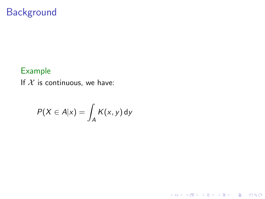#### <span id="page-7-0"></span>Example

If  $X$  is continuous, we have:

$$
P(X \in A | x) = \int_A K(x, y) \, dy
$$

イロト イ御 トイミト イミト ニミー りんぴ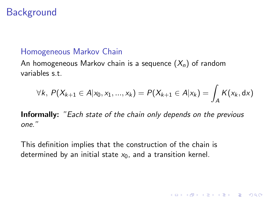#### <span id="page-8-0"></span>Homogeneous Markov Chain

An homogeneous Markov chain is a sequence  $(X_n)$  of random variables s.t.

$$
\forall k, P(X_{k+1} \in A | x_0, x_1, ..., x_k) = P(X_{k+1} \in A | x_k) = \int_A K(x_k, dx)
$$

**K ロ ▶ K @ ▶ K 할 X X 할 X → 할 X → 9 Q Q ^** 

Informally: "Each state of the chain only depends on the previous one."

This definition implies that the construction of the chain is determined by an initial state  $x_0$ , and a transition kernel.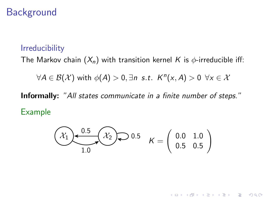#### <span id="page-9-0"></span>Irreducibility

The Markov chain  $(X_n)$  with transition kernel K is  $\phi$ -irreducible iff:

 $\forall A \in \mathcal{B}(\mathcal{X})$  with  $\phi(A) > 0, \exists n \text{ s.t. } K^n(x, A) > 0 \ \forall x \in \mathcal{X}$ 

Informally: "All states communicate in a finite number of steps." Example

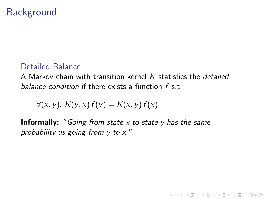#### <span id="page-10-0"></span>Detailed Balance

A Markov chain with transition kernel  $K$  statisfies the *detailed* balance condition if there exists a function  $f \, s \, t$ .

**KORK ERKER ADE YOUR** 

$$
\forall (x, y), K(y, x) f(y) = K(x, y) f(x)
$$

**Informally:** "Going from state x to state y has the same probability as going from y to x."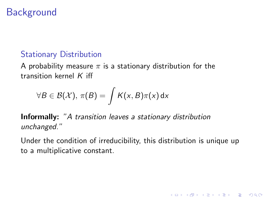### <span id="page-11-0"></span>Stationary Distribution

A probability measure  $\pi$  is a stationary distribution for the transition kernel  $K$  iff

$$
\forall B \in \mathcal{B}(\mathcal{X}), \, \pi(B) = \int K(x, B)\pi(x) \, dx
$$

Informally: "A transition leaves a stationary distribution unchanged."

Under the condition of irreducibility, this distribution is unique up to a multiplicative constant.

K ロ ▶ K @ ▶ K 할 > K 할 > 1 할 > 1 이익어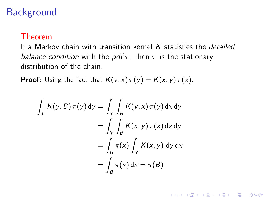#### <span id="page-12-0"></span>Theorem

If a Markov chain with transition kernel  $K$  statisfies the *detailed* balance condition with the pdf  $\pi$ , then  $\pi$  is the stationary distribution of the chain.

**KORK ERKER ADE YOUR** 

**Proof:** Using the fact that  $K(y, x) \pi(y) = K(x, y) \pi(x)$ .

$$
\int_{Y} K(y, B) \pi(y) dy = \int_{Y} \int_{B} K(y, x) \pi(y) dx dy
$$

$$
= \int_{Y} \int_{B} K(x, y) \pi(x) dx dy
$$

$$
= \int_{B} \pi(x) \int_{Y} K(x, y) dy dx
$$

$$
= \int_{B} \pi(x) dx = \pi(B)
$$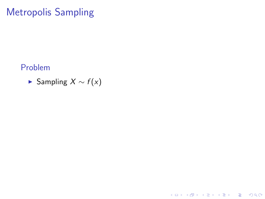#### <span id="page-13-0"></span>Problem

► Sampling  $X \sim f(x)$ 

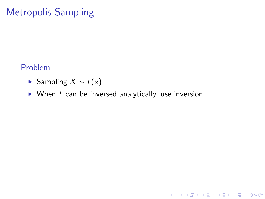#### <span id="page-14-0"></span>Problem

- ► Sampling  $X \sim f(x)$
- $\triangleright$  When f can be inversed analytically, use inversion.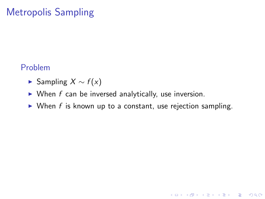#### <span id="page-15-0"></span>Problem

- ► Sampling  $X \sim f(x)$
- $\triangleright$  When f can be inversed analytically, use inversion.
- $\triangleright$  When f is known up to a constant, use rejection sampling.

**K ロ ▶ K @ ▶ K 할 X X 할 X → 할 X → 9 Q Q ^**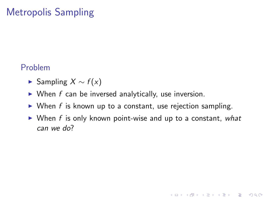#### <span id="page-16-0"></span>Problem

- ► Sampling  $X \sim f(x)$
- $\triangleright$  When f can be inversed analytically, use inversion.
- $\triangleright$  When f is known up to a constant, use rejection sampling.
- $\triangleright$  When f is only known point-wise and up to a constant, what can we do?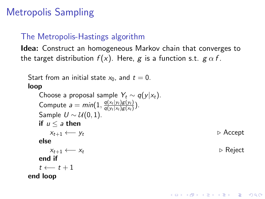### <span id="page-17-0"></span>The Metropolis-Hastings algorithm

Idea: Construct an homogeneous Markov chain that converges to the target distribution  $f(x)$ . Here, g is a function s.t.  $g \alpha f$ .

```
Start from an initial state x_0, and t = 0.
loop
    Choose a proposal sample Y_t \sim q(y|x_t).
    Compute a = min(1, \frac{q(x_t|y_t)g(y_t)}{q(y_t|x_t)g(x_t)})\frac{q(x_t|y_t)g(y_t)}{q(y_t|x_t)g(x_t)}).
   Sample U \sim \mathcal{U}(0, 1).
   if u \le a then
       x_{t+1} \longleftarrow y_t . Accept
   else
       x_{t+1} \leftarrow x_t . Reject
   end if
    t \leftarrow t + 1end loop
```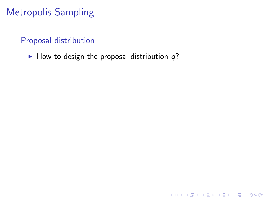#### <span id="page-18-0"></span>Proposal distribution

 $\blacktriangleright$  How to design the proposal distribution  $q$ ?

K ロ ▶ K @ ▶ K 할 ▶ K 할 ▶ | 할 | © 9 Q @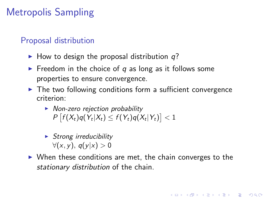### <span id="page-19-0"></span>Proposal distribution

- $\blacktriangleright$  How to design the proposal distribution q?
- Freedom in the choice of q as long as it follows some properties to ensure convergence.
- $\triangleright$  The two following conditions form a sufficient convergence criterion:
	- $\triangleright$  Non-zero rejection probability  $P\left[f(X_t)q(Y_t|X_t)\leq f(Y_t)q(X_t|Y_t)\right]<1$
	- $\triangleright$  Strong irreducibility  $\forall$ (x, y),  $q(y|x) > 0$
- $\triangleright$  When these conditions are met, the chain converges to the stationary distribution of the chain.

**KORKAR KERKER EL VOLO**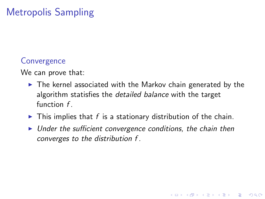#### <span id="page-20-0"></span>**Convergence**

We can prove that:

- $\triangleright$  The kernel associated with the Markov chain generated by the algorithm statisfies the *detailed balance* with the target function  $f$ .
- $\blacktriangleright$  This implies that f is a stationary distribution of the chain.
- $\triangleright$  Under the sufficient convergence conditions, the chain then converges to the distribution f .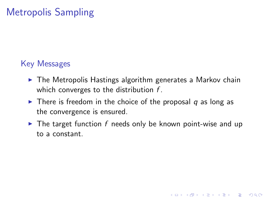### <span id="page-21-0"></span>Key Messages

- $\triangleright$  The Metropolis Hastings algorithm generates a Markov chain which converges to the distribution  $f$ .
- $\triangleright$  There is freedom in the choice of the proposal q as long as the convergence is ensured.
- $\triangleright$  The target function f needs only be known point-wise and up to a constant.